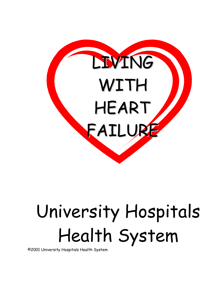

# University Hospitals Health System

©2001 University Hospitals Health System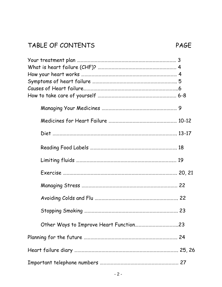### TABLE OF CONTENTS PAGE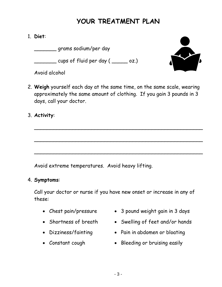### **YOUR TREATMENT PLAN**

#### 1. **Diet**:

\_\_\_\_\_\_\_ grams sodium/per day

 $\frac{1}{\sqrt{2}}$  cups of fluid per day ( $\frac{1}{\sqrt{2}}$  oz.)





2. **Weigh** yourself each day at the same time, on the same scale, wearing approximately the same amount of clothing. If you gain 3 pounds in 3 days, call your doctor.

\_\_\_\_\_\_\_\_\_\_\_\_\_\_\_\_\_\_\_\_\_\_\_\_\_\_\_\_\_\_\_\_\_\_\_\_\_\_\_\_\_\_\_\_\_\_\_\_\_\_\_\_\_

\_\_\_\_\_\_\_\_\_\_\_\_\_\_\_\_\_\_\_\_\_\_\_\_\_\_\_\_\_\_\_\_\_\_\_\_\_\_\_\_\_\_\_\_\_\_\_\_\_\_\_\_\_

 $\overline{\phantom{a}}$ 

#### 3. **Activity**:

Avoid extreme temperatures. Avoid heavy lifting.

#### 4. **Symptoms**:

Call your doctor or nurse if you have new onset or increase in any of these:

- 
- 
- 
- 
- Chest pain/pressure 3 pound weight gain in 3 days
- Shortness of breath Swelling of feet and/or hands
- Dizziness/fainting Pain in abdomen or bloating
- Constant cough Bleeding or bruising easily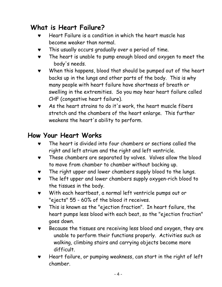### **What is Heart Failure?**

- Heart Failure is a condition in which the heart muscle has become weaker than normal.
- ♥ This usually occurs gradually over a period of time.
- ♥ The heart is unable to pump enough blood and oxygen to meet the body's needs.
- ♥ When this happens, blood that should be pumped out of the heart backs up in the lungs and other parts of the body. This is why many people with heart failure have shortness of breath or swelling in the extremities. So you may hear heart failure called CHF (congestive heart failure).
- ♥ As the heart strains to do it's work, the heart muscle fibers stretch and the chambers of the heart enlarge. This further weakens the heart's ability to perform.

### **How Your Heart Works**

- The heart is divided into four chambers or sections called the right and left atrium and the right and left ventricle.
- These chambers are separated by valves. Valves allow the blood to move from chamber to chamber without backing up.
- ♥ The right upper and lower chambers supply blood to the lungs.
- ♥ The left upper and lower chambers supply oxygen-rich blood to the tissues in the body.
- ♥ With each heartbeat, a normal left ventricle pumps out or "ejects" 55 - 60% of the blood it receives.
- ♥ This is known as the "ejection fraction". In heart failure, the heart pumps less blood with each beat, so the "ejection fraction" goes down.
- Because the tissues are receiving less blood and oxygen, they are unable to perform their functions properly. Activities such as walking, climbing stairs and carrying objects become more difficult.
- ♥ Heart failure, or pumping weakness, can start in the right of left chamber.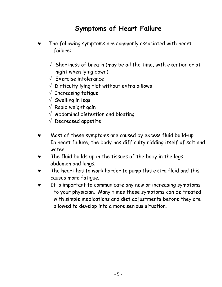### **Symptoms of Heart Failure**

- ♥ The following symptoms are commonly associated with heart failure:
	- $\sqrt{ }$  Shortness of breath (may be all the time, with exertion or at night when lying down)
	- $\sqrt{\phantom{a}}$  Exercise intolerance
	- √ Difficulty lying flat without extra pillows
	- $\sqrt{\ }$  Increasing fatique
	- $\sqrt{\ }$  Swelling in legs
	- $\sqrt{ }$  Rapid weight gain
	- $\sqrt{\phantom{a}}$  Abdominal distention and bloating
	- $\sqrt{ }$  Decreased appetite
- ♥ Most of these symptoms are caused by excess fluid build-up. In heart failure, the body has difficulty ridding itself of salt and water.
- ♥ The fluid builds up in the tissues of the body in the legs, abdomen and lungs.
- ♥ The heart has to work harder to pump this extra fluid and this causes more fatigue.
- It is important to communicate any new or increasing symptoms to your physician. Many times these symptoms can be treated with simple medications and diet adjustments before they are allowed to develop into a more serious situation.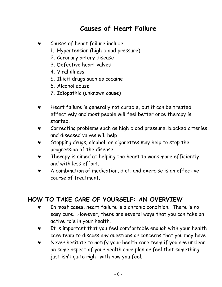### **Causes of Heart Failure**

- Causes of heart failure include:
	- 1. Hypertension (high blood pressure)
	- 2. Coronary artery disease
	- 3. Defective heart valves
	- 4. Viral illness
	- 5. Illicit drugs such as cocaine
	- 6. Alcohol abuse
	- 7. Idiopathic (unknown cause)
- ♥ Heart failure is generally not curable, but it can be treated effectively and most people will feel better once therapy is started.
- ♥ Correcting problems such as high blood pressure, blocked arteries, and diseased valves will help.
- ♥ Stopping drugs, alcohol, or cigarettes may help to stop the progression of the disease.
- ♥ Therapy is aimed at helping the heart to work more efficiently and with less effort.
- ♥ A combination of medication, diet, and exercise is an effective course of treatment.

### **HOW TO TAKE CARE OF YOURSELF: AN OVERVIEW**

- ♥ In most cases, heart failure is a chronic condition. There is no easy cure. However, there are several ways that you can take an active role in your health.
- ♥ It is important that you feel comfortable enough with your health care team to discuss any questions or concerns that you may have.
- ♥ Never hesitate to notify your health care team if you are unclear on some aspect of your health care plan or feel that something just isn't quite right with how you feel.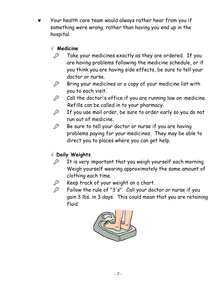Your health care team would always rather hear from you if something were wrong, rather than having you end up in the hospital.

### √ **Medicine**

- $\mathscr{P}$  Take your medicines exactly as they are ordered. If you are having problems following the medicine schedule, or if you think you are having side effects, be sure to tell your doctor or nurse.
- $\mathscr{L}$  Bring your medicines or a copy of your medicine list with you to each visit.
- $\mathscr{P}$  Call the doctor's office if you are running low on medicine. Refills can be called in to your pharmacy.
- $P^2$  If you use mail order, be sure to order early so you do not run out of medicine.
- $\mathscr{P}$  Be sure to tell your doctor or nurse if you are having problems paying for your medicines. They may be able to direct you to places where you can get help.

### √ **Daily Weights**

- $\mathscr{P}$  It is very important that you weigh yourself each morning. Weigh yourself wearing approximately the same amount of clothing each time.
- $\mathscr{L}$  Keep track of your weight on a chart.
- $\mathscr{P}$  Follow the rule of "3's". Call your doctor or nurse if you gain 3 lbs. in 3 days. This could mean that you are retaining fluid.

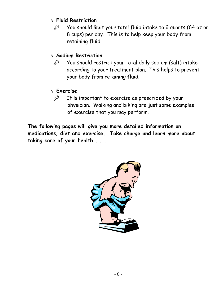#### √ **Fluid Restriction**

 $\mathscr{L}$  You should limit your total fluid intake to 2 quarts (64 oz or 8 cups) per day. This is to help keep your body from retaining fluid.

#### √ **Sodium Restriction**

 $P$  You should restrict your total daily sodium (salt) intake according to your treatment plan. This helps to prevent your body from retaining fluid.

#### √ **Exercise**

 $\mathscr{L}$  It is important to exercise as prescribed by your physician. Walking and biking are just some examples of exercise that you may perform.

**The following pages will give you more detailed information on medications, diet and exercise. Take charge and learn more about taking care of your health . . .** 

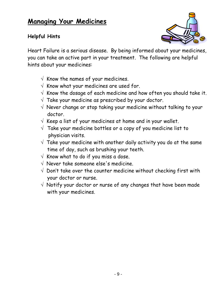### **Managing Your Medicines**

#### **Helpful Hints**



Heart Failure is a serious disease. By being informed about your medicines, you can take an active part in your treatment. The following are helpful hints about your medicines:

- $\sqrt{ }$  Know the names of your medicines.
- $\sqrt{2}$  Know what your medicines are used for.
- $\sqrt{2}$  Know the dosage of each medicine and how often you should take it.
- $\sqrt{\ }$  Take your medicine as prescribed by your doctor.
- $\sqrt{ }$  Never change or stop taking your medicine without talking to your doctor.
- $\sqrt{ }$  Keep a list of your medicines at home and in your wallet.
- $\sqrt{ }$  Take your medicine bottles or a copy of you medicine list to physician visits.
- $\sqrt{ }$  Take your medicine with another daily activity you do at the same time of day, such as brushing your teeth.
- $\sqrt{ }$  Know what to do if you miss a dose.
- $\sqrt{ }$  Never take someone else's medicine.
- $\sqrt{ }$  Don't take over the counter medicine without checking first with your doctor or nurse.
- $\sqrt{ }$  Notify your doctor or nurse of any changes that have been made with your medicines.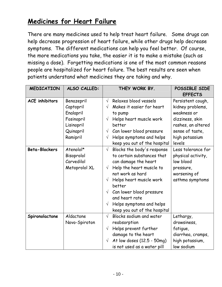### **Medicines for Heart Failure**

There are many medicines used to help treat heart failure. Some drugs can help decrease progression of heart failure, while other drugs help decrease symptoms. The different medications can help you feel better. Of course, the more medications you take, the easier it is to make a mistake (such as missing a dose). Forgetting medications is one of the most common reasons people are hospitalized for heart failure. The best results are seen when patients understand what medicines they are taking and why.

| <b>MEDICATION</b>     | ALSO CALLED:  | THEY WORK BY. |                              | POSSIBLE SIDE<br><b>EFFECTS</b> |
|-----------------------|---------------|---------------|------------------------------|---------------------------------|
| <b>ACE</b> inhibitors | Benazepril    | $\sqrt{ }$    | Relaxes blood vessels        | Persistent cough,               |
|                       | Captopril     | $\sqrt{}$     | Makes it easier for heart    | kidney problems,                |
|                       | Enalapril     |               | to pump                      | weakness or                     |
|                       | Fosinopril    | $\sqrt{}$     | Helps heart muscle work      | dizziness, skin                 |
|                       | Lisinopril    |               | better                       | rashes, an altered              |
|                       | Quinapril     | $\sqrt{}$     | Can lower blood pressure     | sense of taste,                 |
|                       | Ramipril      | $\sqrt{}$     | Helps symptoms and helps     | high potassium                  |
|                       |               |               | keep you out of the hospital | levels                          |
| <b>Beta-Blockers</b>  | Atenolol*     | $\sqrt{}$     | Blocks the body's response   | Less tolerance for              |
|                       | Bisoprolol    |               | to certain substances that   | physical activity,              |
|                       | Carvedilol    |               | can damage the heart         | low blood                       |
|                       | Metoprolol XL | $\sqrt{}$     | Help the heart muscle to     | pressure,                       |
|                       |               |               | not work as hard             | worsening of                    |
|                       |               | $\sqrt{}$     | Helps heart muscle work      | asthma symptoms                 |
|                       |               |               | better                       |                                 |
|                       |               | $\sqrt{}$     | Can lower blood pressure     |                                 |
|                       |               |               | and heart rate               |                                 |
|                       |               | $\sqrt{}$     | Helps symptoms and helps     |                                 |
|                       |               |               | keep you out of the hospital |                                 |
| Spironolactone        | Aldactone     | $\sqrt{ }$    | Blocks sodium and water      | Lethargy,                       |
|                       | Novo-Spiroton |               | reabsorption                 | drowsiness,                     |
|                       |               | $\sqrt{ }$    | Helps prevent further        | fatigue,                        |
|                       |               |               | damage to the heart          | diarrhea, cramps,               |
|                       |               | $\sqrt{ }$    | At low doses (12.5 - 50mg)   | high potassium,                 |
|                       |               |               | is not used as a water pill  | low sodium                      |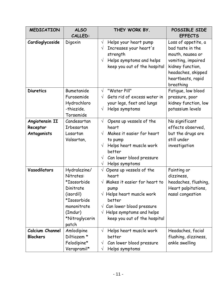| <b>MEDICATION</b> | <b>ALSO</b>    | THEY WORK BY.                             | POSSIBLE SIDE        |
|-------------------|----------------|-------------------------------------------|----------------------|
|                   | CALLED:        |                                           | <b>EFFECTS</b>       |
| Cardioglycoside   | Digoxin        | Helps your heart pump<br>$\sqrt{}$        | Loss of appetite, a  |
|                   |                | Increases your heart's<br>$\sqrt{ }$      | bad taste in the     |
|                   |                | strength                                  | mouth, nausea or     |
|                   |                | Helps symptoms and helps<br>$\sqrt{ }$    | vomiting, impaired   |
|                   |                | keep you out of the hospital              | kidney function,     |
|                   |                |                                           | headaches, skipped   |
|                   |                |                                           | heartbeats, rapid    |
|                   |                |                                           | breathing            |
| <b>Diuretics</b>  | Bumetanide     | $\sqrt{ }$<br>"Water Pill"                | Fatigue, low blood   |
|                   | Furosemide     | Gets rid of excess water in<br>$\sqrt{ }$ | pressure, poor       |
|                   | Hydrochloro    | your legs, feet and lungs                 | kidney function, low |
|                   | -thiazide.     | Helps symptoms<br>$\sqrt{}$               | potassium levels     |
|                   | Torsemide      |                                           |                      |
| Angiotensin II    | Candesartan    | $\sqrt{ }$<br>Opens up vessels of the     | No significant       |
| Receptor          | Irbesartan     | heart                                     | effects observed,    |
| Antagonists       | Losartan       | Makes it easier for heart<br>$\sqrt{ }$   | but the drugs are    |
|                   | Valsartan,     | to pump                                   | still under          |
|                   |                | Helps heart muscle work<br>$\sqrt{ }$     | investigation        |
|                   |                | better                                    |                      |
|                   |                | Can lower blood pressure<br>$\sqrt{}$     |                      |
|                   |                | Helps symptoms<br>$\sqrt{}$               |                      |
| Vasodilators      | Hydralazine/   | Opens up vessels of the<br>$\sqrt{}$      | Fainting or          |
|                   | Nitrates:      | heart                                     | dizziness,           |
|                   | *Isosorbide    | $\sqrt{ }$ Makes it easier for heart to   | headaches, flushing, |
|                   | Dinitrate      | pump                                      | Heart palpitations,  |
|                   | (isordil)      | $\sqrt{ }$ Helps heart muscle work        | nasal congestion     |
|                   | *Isosorbide    | better                                    |                      |
|                   | mononitrate    | $\sqrt{c}$ Can lower blood pressure       |                      |
|                   | (Imdur)        | Helps symptoms and helps<br>$\sqrt{}$     |                      |
|                   | *Nitroglycerin | keep you out of the hospital              |                      |
|                   | patch          |                                           |                      |
| Calcium Channel   | Amlodipine     | Helps heart muscle work<br>$\sqrt{}$      | Headaches, facial    |
| <b>Blockers</b>   | Diltiazem *    | better                                    | flushing, dizziness, |
|                   | Felodipine*    | Can lower blood pressure<br>$\sqrt{}$     | ankle swelling       |
|                   | Verapramil*    | Helps symptoms<br>V                       |                      |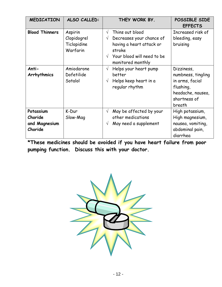| <b>MEDICATION</b>                                | ALSO CALLED:                                      | THEY WORK BY.                                                                                                                                                                | POSSIBLE SIDE<br><b>EFFECTS</b>                                                                                 |
|--------------------------------------------------|---------------------------------------------------|------------------------------------------------------------------------------------------------------------------------------------------------------------------------------|-----------------------------------------------------------------------------------------------------------------|
| <b>Blood Thinners</b>                            | Aspirin<br>Clopidogrel<br>Ticlopidine<br>Warfarin | Thins out blood<br>$\sqrt{}$<br>Decreases your chance of<br>$\sqrt{}$<br>having a heart attack or<br>stroke<br>Your blood will need to be<br>$\sqrt{ }$<br>monitored monthly | Increased risk of<br>bleeding, easy<br>bruising                                                                 |
| Anti-<br>Arrhythmics                             | Amiodarone<br>Dofetilide<br>Sotalol               | Helps your heart pump<br>$\sqrt{ }$<br>better<br>Helps keep heart in a<br>$\sqrt{ }$<br>regular rhythm                                                                       | Dizziness,<br>numbness, tingling<br>in arms, facial<br>flushing,<br>headache, nausea,<br>shortness of<br>breath |
| Potassium<br>Choride<br>and Magnesium<br>Choride | K-Dur<br>Slow-Mag                                 | May be affected by your<br>$\sqrt{ }$<br>other medications<br>May need a supplement<br>$\sqrt{}$                                                                             | High potassium,<br>High magnesium,<br>nausea, vomiting,<br>abdominal pain,<br>diarrhea                          |

**\*These medicines should be avoided if you have heart failure from poor pumping function. Discuss this with your doctor.** 

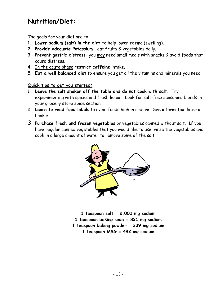### **Nutrition/Diet:**

The goals for your diet are to:

- 1. **Lower sodium (salt) in the diet** to help lower edema (swelling).
- 2. **Provide adequate Potassium** eat fruits & vegetables daily.
- 3. **Prevent gastric distress** –you may need small meals with snacks & avoid foods that cause distress.
- 4. In the acute phase **restrict caffeine** intake.
- 5. **Eat a well balanced diet** to ensure you get all the vitamins and minerals you need.

#### **Quick tips to get you started:**

- 1. **Leave the salt shaker off the table and do not cook with salt.** Try experimenting with spices and fresh lemon. Look for salt-free seasoning blends in your grocery store spice section.
- 2. **Learn to read food labels** to avoid foods high in sodium. See information later in booklet.
- 3. **Purchase fresh and frozen vegetables** or vegetables canned without salt. If you have regular canned vegetables that you would like to use, rinse the vegetables and cook in a large amount of water to remove some of the salt.



**1 teaspoon salt = 2,000 mg sodium 1 teaspoon baking soda = 821 mg sodium 1 teaspoon baking powder = 339 mg sodium 1 teaspoon MSG = 492 mg sodium**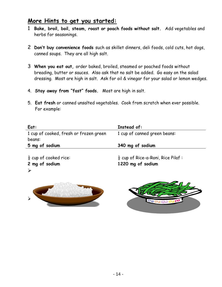#### **More Hints to get you started:**

- 1 **Bake, broil, boil, steam, roast or poach foods without salt.** Add vegetables and herbs for seasonings.
- 2 **Don't buy convenience foods** such as skillet dinners, deli foods, cold cuts, hot dogs, canned soups. They are all high salt.
- 3 **When you eat out,** order baked, broiled, steamed or poached foods without breading, butter or sauces. Also ask that no salt be added. Go easy on the salad dressing. Most are high in salt. Ask for oil & vinegar for your salad or lemon wedges.
- 4. **Stay away from "fast" foods.** Most are high in salt.
- 5. **Eat fresh** or canned unsalted vegetables. Cook from scratch when ever possible. For example:

| Eat:                                   | Instead of:                                    |
|----------------------------------------|------------------------------------------------|
| 1 cup of cooked, fresh or frozen green | 1 cup of canned green beans:                   |
| beans:                                 |                                                |
| 5 mg of sodium                         | 340 mg of sodium                               |
|                                        |                                                |
| $\frac{1}{2}$ cup of cooked rice:      | $\frac{1}{2}$ cup of Rice-a-Roni, Rice Pilaf : |
| 2 mg of sodium                         | 1220 mg of sodium                              |



¾

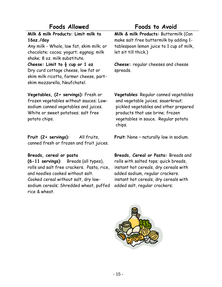### **Foods Allowed Foods to Avoid**

**Milk & milk Products: Limit milk to 16oz./day**

Any milk - Whole, low fat, skim milk; or chocolate; cocoa; yogurt; eggnog; milk shake; 8 oz. milk substitute.

**Cheese: Limit to ½ cup or 1 oz**  Dry curd cottage cheese, low fat or skim milk ricotta, farmer cheese, partskim mozzarella, Neufchatel.

**Milk & milk Products:** Buttermilk (Can make salt free buttermilk by adding 1 tablespoon lemon juice to 1 cup of milk, let sit till thick.)

**Cheese:** regular cheeses and cheese spreads.

**Vegetables, (2+ servings):** Fresh or frozen vegetables without sauces; Lowsodium canned vegetables and juices. White or sweet potatoes; salt free potato chips.

**Fruit (2+ servings):** All fruits, canned fresh or frozen and fruit juices.

#### **Breads, cereal or pasta**

**(6-11 servings)**: Breads (all types), rolls and salt free crackers. Pasta, rice, and noodles cooked without salt. Cooked cereal without salt, dry lowsodium cereals; Shredded wheat, puffed rice & wheat.

**Vegetables**: Regular canned vegetables and vegetable juices; sauerkraut; pickled vegetables and other prepared products that use brine; frozen vegetables in sauce. Regular potato chips.

**Fruit**: None – naturally low in sodium.

**Breads, Cereal or Pasta:** Breads and rolls with salted tops; quick breads, instant hot cereals, dry cereals with added sodium, regular crackers. instant hot cereals, dry cereals with added salt, regular crackers;

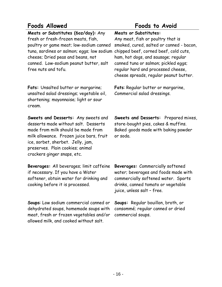**Meats or Substitutes (6oz/day):** Any fresh or fresh-frozen meats, fish, poultry or game meat; low-sodium canned tuna, sardines or salmon; eggs; low sodium chipped beef, corned beef, cold cuts, cheese; Dried peas and beans, not canned. Low-sodium peanut butter, salt free nuts and tofu.

**Fats:** Unsalted butter or margarine; unsalted salad dressings; vegetable oil, shortening; mayonnaise; light or sour cream.

**Sweets and Desserts:** Any sweets and desserts made without salt. Desserts made from milk should be made from milk allowance. Frozen juice bars, fruit ice, sorbet, sherbet. Jelly, jam, preserves. Plain cookies; animal crackers ginger snaps, etc.

**Beverages:** All beverages; limit caffeine if necessary. If you have a Water softener, obtain water for drinking and cooking before it is processed.

**Soups**: Low sodium commercial canned or dehydrated soups, homemade soups with meat, fresh or frozen vegetables and/or allowed milk, and cooked without salt.

#### **Foods Allowed Foods to Avoid**

#### **Meats or Substitutes:**

Any meat, fish or poultry that is smoked, cured, salted or canned - bacon, ham, hot dogs, and sausage; regular canned tuna or salmon; pickled eggs; regular hard and processed cheese, cheese spreads, regular peanut butter.

**Fats**: Regular butter or margarine, Commercial salad dressings.

**Sweets and Desserts:** Prepared mixes, store-bought pies, cakes & muffins. Baked goods made with baking powder or soda.

**Beverages:** Commercially softened water; beverages and foods made with commercially softened water. Sports drinks, canned tomato or vegetable juice, unless salt – free.

**Soups:** Regular bouillon, broth, or consommé; regular canned or dried commercial soups.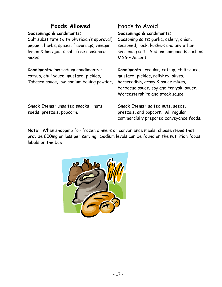| Foods Allowed                                                                                                                                                                | Foods to Avoid                                                                                                                                                                                      |
|------------------------------------------------------------------------------------------------------------------------------------------------------------------------------|-----------------------------------------------------------------------------------------------------------------------------------------------------------------------------------------------------|
| Seasonings & condiments:<br>Salt substitute (with physician's approval);<br>pepper, herbs, spices, flavorings, vinegar,<br>lemon & lime juice; salt-free seasoning<br>mixes. | Seasonings & condiments:<br>Seasoning salts; garlic, celery, onion,<br>seasoned, rock, kosher; and any other<br>seasoning salt. Sodium compounds such as<br>MSG - Accent.                           |
| <b>Condiments:</b> low sodium condiments -<br>catsup, chili sauce, mustard, pickles,<br>Tabasco sauce, low-sodium baking powder,                                             | Condiments: regular; catsup, chili sauce,<br>mustard, pickles, relishes, olives,<br>horseradish, gravy & sauce mixes,<br>barbecue sauce, soy and teriyaki sauce,<br>Worcestershire and steak sauce. |
| Snack Items: unsalted snacks - nuts,<br>seeds, pretzels, popcorn.                                                                                                            | Snack Items: salted nuts, seeds,<br>pretzels, and popcorn. All regular<br>commercially prepared conveyance foods.                                                                                   |

**Note:** When shopping for frozen dinners or convenience meals, choose items that provide 600mg or less per serving. Sodium levels can be found on the nutrition foods labels on the box.

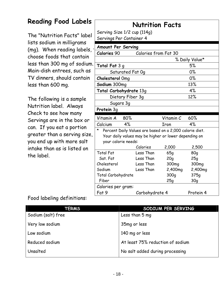### **Reading Food Labels**

The "Nutrition Facts" label lists sodium in milligrams (mg). When reading labels, choose foods that contain less than 300 mg of sodium. Main-dish entrees, such as TV dinners, should contain less than 600 mg.

The following is a sample Nutrition label. Always Check to see how many Servings are in the box or can. If you eat a portion greater than a serving size, you end up with more salt intake than as is listed on the label.

### **Nutrition Facts**

Serving Size 1/2 cup (114g) Servings Per Container 4

| <b>Amount Per Serving</b>                                    |                      |                   |                |  |
|--------------------------------------------------------------|----------------------|-------------------|----------------|--|
| Calories 90                                                  | Calories from Fat 30 |                   |                |  |
|                                                              |                      |                   | % Daily Value* |  |
| <b>Total Fat</b> 3 g                                         |                      |                   | 5%             |  |
| Saturated Fat Og                                             |                      |                   | 0%             |  |
| Cholesterol Omg                                              |                      |                   | 0%             |  |
| Sodium 300mg                                                 |                      |                   | 13%            |  |
| Total Carbohydrate 13g                                       |                      |                   | 4%             |  |
| Dietary Fiber 3g                                             |                      |                   | 12%            |  |
| Sugars 3g                                                    |                      |                   |                |  |
| Protein 3g                                                   |                      |                   |                |  |
| 80%<br>Vitamin A                                             |                      | Vitamin C         | 60%            |  |
| 4%<br>Calcium                                                |                      | Iron              | 4%             |  |
| *<br>Percent Daily Values are based on a 2,000 calorie diet. |                      |                   |                |  |
| Your daily values may be higher or lower depending on        |                      |                   |                |  |
| your calorie needs:                                          |                      |                   |                |  |
|                                                              | Calories             | 2,000             | 2,500          |  |
| <b>Total Fat</b>                                             | Less Than            | 65q               | 80q            |  |
| Sat. Fat                                                     | Less Than            | 20q               | 25q            |  |
| Cholesterol                                                  | Less Than            | 300 <sub>mg</sub> | 300mg          |  |
| Sodium                                                       | Less Than            | 2,400mg           | 2,400mg        |  |
| Total Carbohydrate                                           |                      | 300q              | 375q           |  |
| Fiber                                                        |                      | 25q               | 30q            |  |
| Calories per gram:                                           |                      |                   |                |  |
| Fat 9                                                        | Carbohydrate 4       |                   | Protein 4      |  |

#### Food labeling definitions:

| TERMS              | SODIUM PER SERVING               |
|--------------------|----------------------------------|
| Sodium (salt) free | Less than 5 mg                   |
| Very low sodium    | 35mg or less                     |
| Low sodium         | 140 mg or less                   |
| Reduced sodium     | At least 75% reduction of sodium |
| Unsalted           | No salt added during processing  |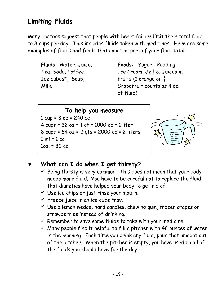### **Limiting Fluids**

Many doctors suggest that people with heart failure limit their total fluid to 8 cups per day. This includes fluids taken with medicines. Here are some examples of fluids and foods that count as part of your fluid total:

**Fluids:** Water, Juice, Tea, Soda, Coffee, Ice cubes\*, Soup, Milk.

**Foods:** Yogurt, Pudding, Ice Cream, Jell-o, Juices in fruits (1 orange or  $\frac{1}{2}$ Grapefruit counts as 4 oz. of fluid)

**To help you measure** 1 cup = 8 oz = 240 cc 4 cups = 32 oz = 1 qt = 1000 cc = 1 liter 8 cups = 64 oz = 2 qts = 2000 cc = 2 liters  $1 ml = 1 cc$  $1oz = 30 cc$ 



### What can I do when I get thirsty?

- $\checkmark$  Being thirsty is very common. This does not mean that your body needs more fluid. You have to be careful not to replace the fluid that diuretics have helped your body to get rid of.
- $\checkmark$  Use ice chips or just rinse your mouth.
- $\checkmark$  Freeze juice in an ice cube tray.
- $\checkmark$  Use a lemon wedge, hard candies, chewing gum, frozen grapes or strawberries instead of drinking.
- $\checkmark$  Remember to save some fluids to take with your medicine.
- $\checkmark$  Many people find it helpful to fill a pitcher with 48 ounces of water in the morning. Each time you drink any fluid, pour that amount out of the pitcher. When the pitcher is empty, you have used up all of the fluids you should have for the day.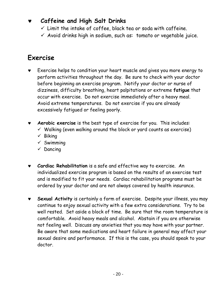### **Caffeine and High Salt Drinks**

- $\checkmark$  Limit the intake of coffee, black tea or soda with caffeine.
- $\checkmark$  Avoid drinks high in sodium, such as: tomato or vegetable juice.

### **Exercise**

- Exercise helps to condition your heart muscle and gives you more energy to perform activities throughout the day. Be sure to check with your doctor before beginning an exercise program. Notify your doctor or nurse of dizziness, difficulty breathing, heart palpitations or extreme **fatigue** that occur with exercise. Do not exercise immediately after a heavy meal. Avoid extreme temperatures. Do not exercise if you are already excessively fatigued or feeling poorly.
- Aerobic exercise is the best type of exercise for you. This includes:
	- $\checkmark$  Walking (even walking around the block or yard counts as exercise)
	- $\checkmark$  Biking
	- $\checkmark$  Swimming
	- $\checkmark$  Dancing
- **Cardiac Rehabilitation** is a safe and effective way to exercise. An individualized exercise program is based on the results of an exercise test and is modified to fit your needs. Cardiac rehabilitation programs must be ordered by your doctor and are not always covered by health insurance.
- Sexual Activity is certainly a form of exercise. Despite your illness, you may continue to enjoy sexual activity with a few extra considerations. Try to be well rested. Set aside a block of time. Be sure that the room temperature is comfortable. Avoid heavy meals and alcohol. Abstain if you are otherwise not feeling well. Discuss any anxieties that you may have with your partner. Be aware that some medications and heart failure in general may affect your sexual desire and performance. If this is the case, you should speak to your doctor.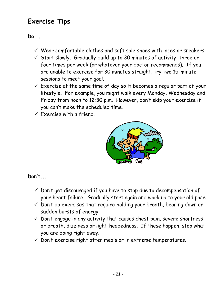### **Exercise Tips**

**Do. .** 

- $\checkmark$  Wear comfortable clothes and soft sole shoes with laces or sneakers.
- $\checkmark$  Start slowly. Gradually build up to 30 minutes of activity, three or four times per week (or whatever your doctor recommends). If you are unable to exercise for 30 minutes straight, try two 15-minute sessions to meet your goal.
- $\checkmark$  Exercise at the same time of day so it becomes a regular part of your lifestyle. For example, you might walk every Monday, Wednesday and Friday from noon to 12:30 p.m. However, don't skip your exercise if you can't make the scheduled time.
- $\checkmark$  Exercise with a friend.



**Don't....** 

- $\checkmark$  Don't get discouraged if you have to stop due to decompensation of your heart failure. Gradually start again and work up to your old pace.
- $\checkmark$  Don't do exercises that require holding your breath, bearing down or sudden bursts of energy.
- $\checkmark$  Don't engage in any activity that causes chest pain, severe shortness or breath, dizziness or light-headedness. If these happen, stop what you are doing right away.
- $\checkmark$  Don't exercise right after meals or in extreme temperatures.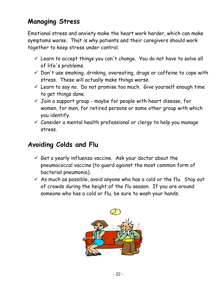### **Managing Stress**

Emotional stress and anxiety make the heart work harder, which can make symptoms worse. That is why patients and their caregivers should work together to keep stress under control.

- $\checkmark$  Learn to accept things you can't change. You do not have to solve all of life's problems.
- $\checkmark$  Don't use smoking, drinking, overeating, drugs or caffeine to cope with stress. These will actually make things worse.
- $\checkmark$  Learn to say no. Do not promise too much. Give yourself enough time to get things done.
- $\checkmark$  Join a support group maybe for people with heart disease, for women, for men, for retired persons or some other group with which you identify.
- $\checkmark$  Consider a mental health professional or clergy to help you manage stress.

### **Avoiding Colds and Flu**

- $6$  Get a yearly influenza vaccine. Ask your doctor about the pneumococcal vaccine (to guard against the most common form of bacterial pneumonia).
- $\checkmark$  As much as possible, avoid anyone who has a cold or the flu. Stay out of crowds during the height of the flu season. If you are around someone who has a cold or flu, be sure to wash your hands.

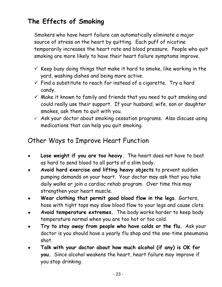### **The Effects of Smoking**

Smokers who have heart failure can automatically eliminate a major source of stress on the heart by quitting. Each puff of nicotine temporarily increases the heart rate and blood pressure. People who quit smoking are more likely to have their heart failure symptoms improve.

- $\checkmark$  Keep busy doing things that make it hard to smoke, like working in the yard, washing dishes and being more active.
- $\checkmark$  Find a substitute to reach for instead of a cigarette. Try a hard candy.
- $\checkmark$  Make it known to family and friends that you need to quit smoking and could really use their support. If your husband, wife, son or daughter smokes, ask them to quit with you.
- $\checkmark$  Ask your doctor about smoking cessation programs. Also discuss using medications that can help you quit smoking.

### Other Ways to Improve Heart Function

- ♥ **Lose weight if you are too heavy.** The heart does not have to beat as hard to send blood to all parts of a slim body.
- ♥ **Avoid hard exercise and lifting heavy objects** to prevent sudden pumping demands on your heart. Your doctor may ask that you take daily walks or join a cardiac rehab program. Over time this may strengthen your heart muscle.
- ♥ **Wear clothing that permit good blood flow in the legs**. Garters, hose with tight tops may slow blood flow to your legs and cause clots.
- ♥ **Avoid temperature extremes.** The body works harder to keep body temperature normal when you are too hot or too cold.
- Try to stay away from people who have colds or the flu. Ask your doctor is you should have a yearly flu shop and the one-time pneumonia shot.
- Talk with your doctor about how much alcohol (if any) is OK for **you.** Since alcohol weakens the heart, heart failure may improve if you stop drinking.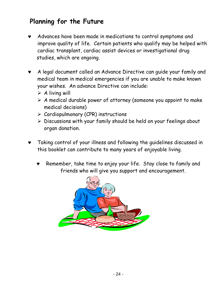### **Planning for the Future**

- Advances have been made in medications to control symptoms and improve quality of life. Certain patients who qualify may be helped with cardiac transplant, cardiac assist devices or investigational drug studies, which are ongoing.
- ♥ A legal document called an Advance Directive can guide your family and medical team in medical emergencies if you are unable to make known your wishes. An advance Directive can include:
	- $\triangleright$  A living will
	- $\triangleright$  A medical durable power of attorney (someone you appoint to make medical decisions)
	- $\triangleright$  Cardiopulmonary (CPR) instructions
	- $\triangleright$  Discussions with your family should be held on your feelings about organ donation.
- Taking control of your illness and following the guidelines discussed in this booklet can contribute to many years of enjoyable living.
	- Remember, take time to enjoy your life. Stay close to family and friends who will give you support and encouragement.

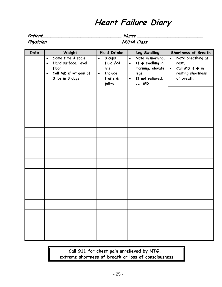# **Heart Failure Diary**

| Patient          | Nurse      |
|------------------|------------|
| <b>Physician</b> | NYHA Class |

| Date | Weight                                                                                                                               | <b>Fluid Intake</b>                                                                          | Leg Swelling                                                                                                                                     | Shortness of Breath                                                                                                    |
|------|--------------------------------------------------------------------------------------------------------------------------------------|----------------------------------------------------------------------------------------------|--------------------------------------------------------------------------------------------------------------------------------------------------|------------------------------------------------------------------------------------------------------------------------|
|      | Same time & scale<br>$\bullet$<br>Hard surface, level<br>$\bullet$<br>floor<br>Call MD if wt gain of<br>$\bullet$<br>3 lbs in 3 days | $\bullet$<br>8 cups<br>fluid /24<br>hrs<br><b>Include</b><br>$\bullet$<br>fruits &<br>jell-o | Note in morning.<br>$\bullet$<br>If $\bigwedge$ swelling in<br>$\bullet$<br>morning, elevate<br>legs<br>If not relieved,<br>$\bullet$<br>call MD | Note breathing at<br>$\bullet$<br>rest.<br>Call $MD$ if $\spadesuit$ in<br>$\bullet$<br>resting shortness<br>of breath |
|      |                                                                                                                                      |                                                                                              |                                                                                                                                                  |                                                                                                                        |
|      |                                                                                                                                      |                                                                                              |                                                                                                                                                  |                                                                                                                        |
|      |                                                                                                                                      |                                                                                              |                                                                                                                                                  |                                                                                                                        |
|      |                                                                                                                                      |                                                                                              |                                                                                                                                                  |                                                                                                                        |
|      |                                                                                                                                      |                                                                                              |                                                                                                                                                  |                                                                                                                        |
|      |                                                                                                                                      |                                                                                              |                                                                                                                                                  |                                                                                                                        |
|      |                                                                                                                                      |                                                                                              |                                                                                                                                                  |                                                                                                                        |
|      |                                                                                                                                      |                                                                                              |                                                                                                                                                  |                                                                                                                        |
|      |                                                                                                                                      |                                                                                              |                                                                                                                                                  |                                                                                                                        |
|      |                                                                                                                                      |                                                                                              |                                                                                                                                                  |                                                                                                                        |
|      |                                                                                                                                      |                                                                                              |                                                                                                                                                  |                                                                                                                        |
|      |                                                                                                                                      |                                                                                              |                                                                                                                                                  |                                                                                                                        |
|      |                                                                                                                                      |                                                                                              |                                                                                                                                                  |                                                                                                                        |
|      |                                                                                                                                      |                                                                                              |                                                                                                                                                  |                                                                                                                        |
|      |                                                                                                                                      |                                                                                              |                                                                                                                                                  |                                                                                                                        |

**Call 911 for chest pain unrelieved by NTG, extreme shortness of breath or loss of consciousness**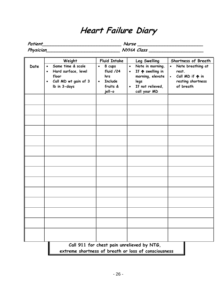### **Heart Failure Diary**

**Patient\_\_\_\_\_\_\_\_\_\_\_\_\_\_\_\_\_\_\_\_\_\_\_\_\_\_\_\_\_ Nurse \_\_\_\_\_\_\_\_\_\_\_\_\_\_\_\_\_\_\_\_\_\_\_\_** 

**Physician\_\_\_\_\_\_\_\_\_\_\_\_\_\_\_\_\_\_\_\_\_\_\_\_\_\_\_ NYHA Class \_\_\_\_\_\_\_\_\_\_\_\_\_\_\_\_\_\_\_\_**

| Date | Weight<br>Same time & scale<br>$\bullet$<br>Hard surface, level<br>$\bullet$<br>floor<br>Call MD wt gain of 3<br>$\bullet$<br>Ib in 3-days | <b>Fluid Intake</b><br>8 cups<br>$\bullet$<br>fluid /24<br>hrs<br><b>Include</b><br>$\bullet$<br>fruits & | Leg Swelling<br>Note in morning.<br>$\bullet$<br>If $\bigwedge$ swelling in<br>$\bullet$<br>morning, elevate<br>legs<br>If not relieved,<br>$\bullet$ | Shortness of Breath<br>Note breathing at<br>$\bullet$<br>rest.<br>Call $MD$ if $\spadesuit$ in<br>$\bullet$<br>resting shortness<br>of breath |
|------|--------------------------------------------------------------------------------------------------------------------------------------------|-----------------------------------------------------------------------------------------------------------|-------------------------------------------------------------------------------------------------------------------------------------------------------|-----------------------------------------------------------------------------------------------------------------------------------------------|
|      |                                                                                                                                            | jell-o                                                                                                    | call your MD                                                                                                                                          |                                                                                                                                               |
|      |                                                                                                                                            |                                                                                                           |                                                                                                                                                       |                                                                                                                                               |
|      |                                                                                                                                            |                                                                                                           |                                                                                                                                                       |                                                                                                                                               |
|      |                                                                                                                                            |                                                                                                           |                                                                                                                                                       |                                                                                                                                               |
|      |                                                                                                                                            |                                                                                                           |                                                                                                                                                       |                                                                                                                                               |
|      |                                                                                                                                            |                                                                                                           |                                                                                                                                                       |                                                                                                                                               |
|      |                                                                                                                                            |                                                                                                           |                                                                                                                                                       |                                                                                                                                               |
|      |                                                                                                                                            |                                                                                                           |                                                                                                                                                       |                                                                                                                                               |
|      |                                                                                                                                            |                                                                                                           |                                                                                                                                                       |                                                                                                                                               |
|      |                                                                                                                                            |                                                                                                           |                                                                                                                                                       |                                                                                                                                               |
|      |                                                                                                                                            |                                                                                                           |                                                                                                                                                       |                                                                                                                                               |
|      |                                                                                                                                            |                                                                                                           | Call 911 for chest pain unrelieved by NTG,                                                                                                            |                                                                                                                                               |
|      |                                                                                                                                            |                                                                                                           | extreme shortness of breath or loss of consciousness                                                                                                  |                                                                                                                                               |